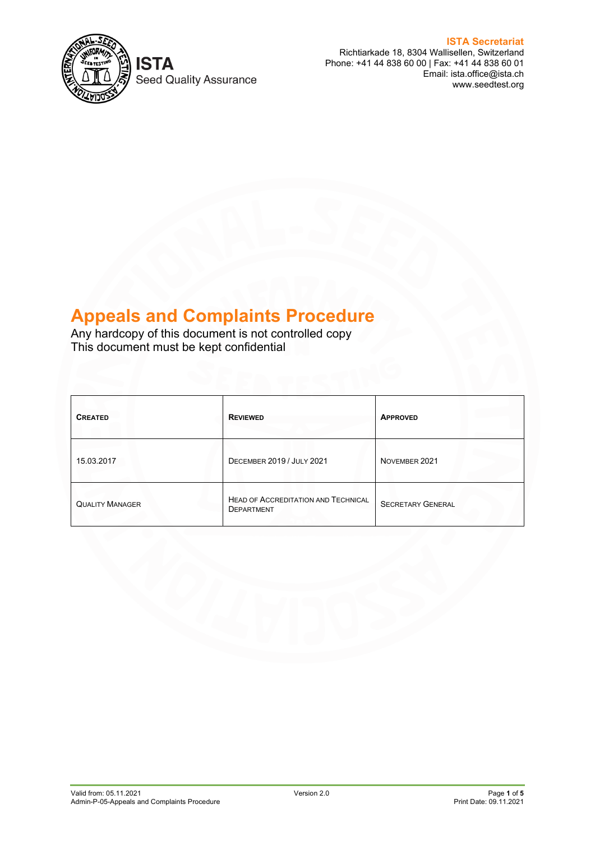

**Seed Quality Assurance** 

**ISTA Secretariat** Richtiarkade 18, 8304 Wallisellen, Switzerland Phone: +41 44 838 60 00 | Fax: +41 44 838 60 01 Email: ista.office@ista.ch www.seedtest.org

# **Appeals and Complaints Procedure**

Any hardcopy of this document is not controlled copy This document must be kept confidential

| <b>CREATED</b>         | <b>REVIEWED</b>                                          | <b>APPROVED</b>          |
|------------------------|----------------------------------------------------------|--------------------------|
| 15.03.2017             | <b>DECEMBER 2019 / JULY 2021</b>                         | NOVEMBER 2021            |
| <b>QUALITY MANAGER</b> | <b>HEAD OF ACCREDITATION AND TECHNICAL</b><br>DEPARTMENT | <b>SECRETARY GENERAL</b> |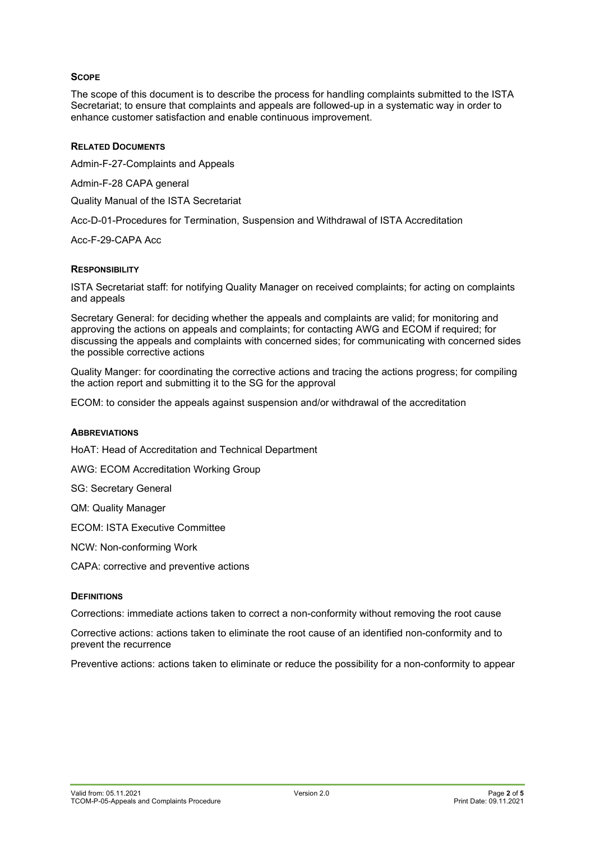# **SCOPE**

The scope of this document is to describe the process for handling complaints submitted to the ISTA Secretariat; to ensure that complaints and appeals are followed-up in a systematic way in order to enhance customer satisfaction and enable continuous improvement.

## **RELATED DOCUMENTS**

Admin-F-27-Complaints and Appeals

Admin-F-28 CAPA general

Quality Manual of the ISTA Secretariat

Acc-D-01-Procedures for Termination, Suspension and Withdrawal of ISTA Accreditation

Acc-F-29-CAPA Acc

## **RESPONSIBILITY**

ISTA Secretariat staff: for notifying Quality Manager on received complaints; for acting on complaints and appeals

Secretary General: for deciding whether the appeals and complaints are valid; for monitoring and approving the actions on appeals and complaints; for contacting AWG and ECOM if required; for discussing the appeals and complaints with concerned sides; for communicating with concerned sides the possible corrective actions

Quality Manger: for coordinating the corrective actions and tracing the actions progress; for compiling the action report and submitting it to the SG for the approval

ECOM: to consider the appeals against suspension and/or withdrawal of the accreditation

#### **ABBREVIATIONS**

HoAT: Head of Accreditation and Technical Department

AWG: ECOM Accreditation Working Group

SG: Secretary General

QM: Quality Manager

ECOM: ISTA Executive Committee

NCW: Non-conforming Work

CAPA: corrective and preventive actions

#### **DEFINITIONS**

Corrections: immediate actions taken to correct a non-conformity without removing the root cause

Corrective actions: actions taken to eliminate the root cause of an identified non-conformity and to prevent the recurrence

Preventive actions: actions taken to eliminate or reduce the possibility for a non-conformity to appear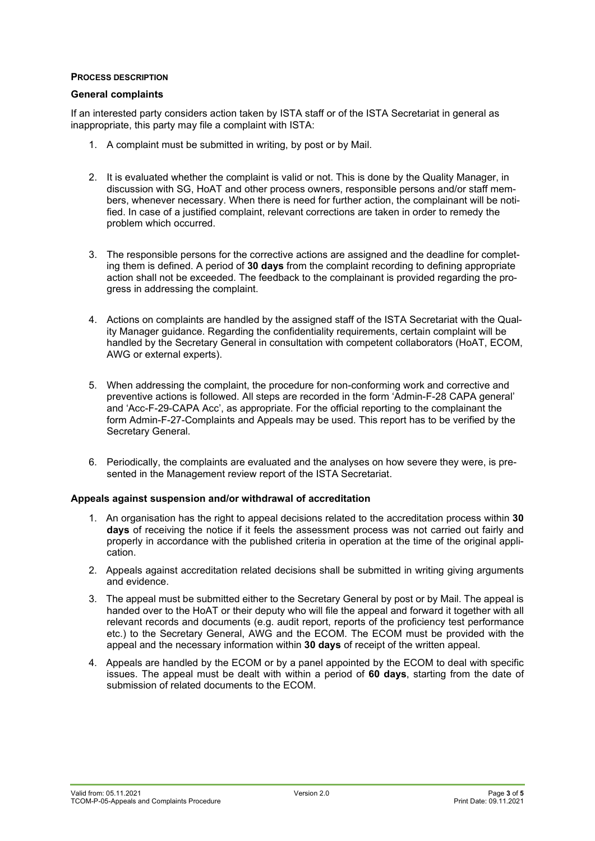#### **PROCESS DESCRIPTION**

#### **General complaints**

If an interested party considers action taken by ISTA staff or of the ISTA Secretariat in general as inappropriate, this party may file a complaint with ISTA:

- 1. A complaint must be submitted in writing, by post or by Mail.
- 2. It is evaluated whether the complaint is valid or not. This is done by the Quality Manager, in discussion with SG, HoAT and other process owners, responsible persons and/or staff members, whenever necessary. When there is need for further action, the complainant will be notified. In case of a justified complaint, relevant corrections are taken in order to remedy the problem which occurred.
- 3. The responsible persons for the corrective actions are assigned and the deadline for completing them is defined. A period of **30 days** from the complaint recording to defining appropriate action shall not be exceeded. The feedback to the complainant is provided regarding the progress in addressing the complaint.
- 4. Actions on complaints are handled by the assigned staff of the ISTA Secretariat with the Quality Manager guidance. Regarding the confidentiality requirements, certain complaint will be handled by the Secretary General in consultation with competent collaborators (HoAT, ECOM, AWG or external experts).
- 5. When addressing the complaint, the procedure for non-conforming work and corrective and preventive actions is followed. All steps are recorded in the form 'Admin-F-28 CAPA general' and 'Acc-F-29-CAPA Acc', as appropriate. For the official reporting to the complainant the form Admin-F-27-Complaints and Appeals may be used. This report has to be verified by the Secretary General.
- 6. Periodically, the complaints are evaluated and the analyses on how severe they were, is presented in the Management review report of the ISTA Secretariat.

#### **Appeals against suspension and/or withdrawal of accreditation**

- 1. An organisation has the right to appeal decisions related to the accreditation process within **30 days** of receiving the notice if it feels the assessment process was not carried out fairly and properly in accordance with the published criteria in operation at the time of the original application.
- 2. Appeals against accreditation related decisions shall be submitted in writing giving arguments and evidence.
- 3. The appeal must be submitted either to the Secretary General by post or by Mail. The appeal is handed over to the HoAT or their deputy who will file the appeal and forward it together with all relevant records and documents (e.g. audit report, reports of the proficiency test performance etc.) to the Secretary General, AWG and the ECOM. The ECOM must be provided with the appeal and the necessary information within **30 days** of receipt of the written appeal.
- 4. Appeals are handled by the ECOM or by a panel appointed by the ECOM to deal with specific issues. The appeal must be dealt with within a period of **60 days**, starting from the date of submission of related documents to the ECOM.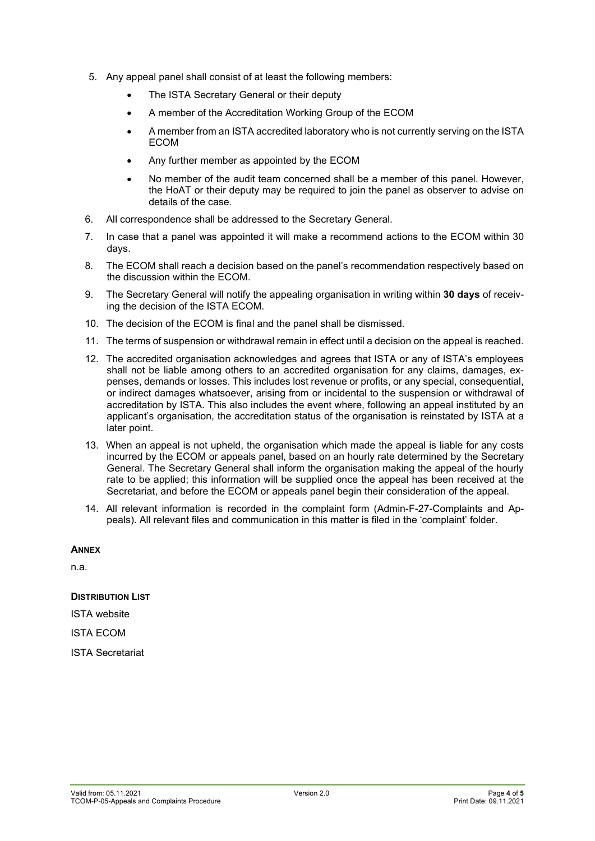- 5. Any appeal panel shall consist of at least the following members:
	- The ISTA Secretary General or their deputy
	- A member of the Accreditation Working Group of the ECOM
	- A member from an ISTA accredited laboratory who is not currently serving on the ISTA ECOM
	- Any further member as appointed by the ECOM
	- No member of the audit team concerned shall be a member of this panel. However, the HoAT or their deputy may be required to join the panel as observer to advise on details of the case.
- 6. All correspondence shall be addressed to the Secretary General.
- 7. In case that a panel was appointed it will make a recommend actions to the ECOM within 30 days.
- 8. The ECOM shall reach a decision based on the panel's recommendation respectively based on the discussion within the ECOM.
- 9. The Secretary General will notify the appealing organisation in writing within **30 days** of receiving the decision of the ISTA ECOM.
- 10. The decision of the ECOM is final and the panel shall be dismissed.
- 11. The terms of suspension or withdrawal remain in effect until a decision on the appeal is reached.
- 12. The accredited organisation acknowledges and agrees that ISTA or any of ISTA's employees shall not be liable among others to an accredited organisation for any claims, damages, expenses, demands or losses. This includes lost revenue or profits, or any special, consequential, or indirect damages whatsoever, arising from or incidental to the suspension or withdrawal of accreditation by ISTA. This also includes the event where, following an appeal instituted by an applicant's organisation, the accreditation status of the organisation is reinstated by ISTA at a later point.
- 13. When an appeal is not upheld, the organisation which made the appeal is liable for any costs incurred by the ECOM or appeals panel, based on an hourly rate determined by the Secretary General. The Secretary General shall inform the organisation making the appeal of the hourly rate to be applied; this information will be supplied once the appeal has been received at the Secretariat, and before the ECOM or appeals panel begin their consideration of the appeal.
- 14. All relevant information is recorded in the complaint form (Admin-F-27-Complaints and Appeals). All relevant files and communication in this matter is filed in the 'complaint' folder.

#### **ANNEX**

n.a.

# **DISTRIBUTION LIST**

ISTA website

ISTA ECOM

ISTA Secretariat